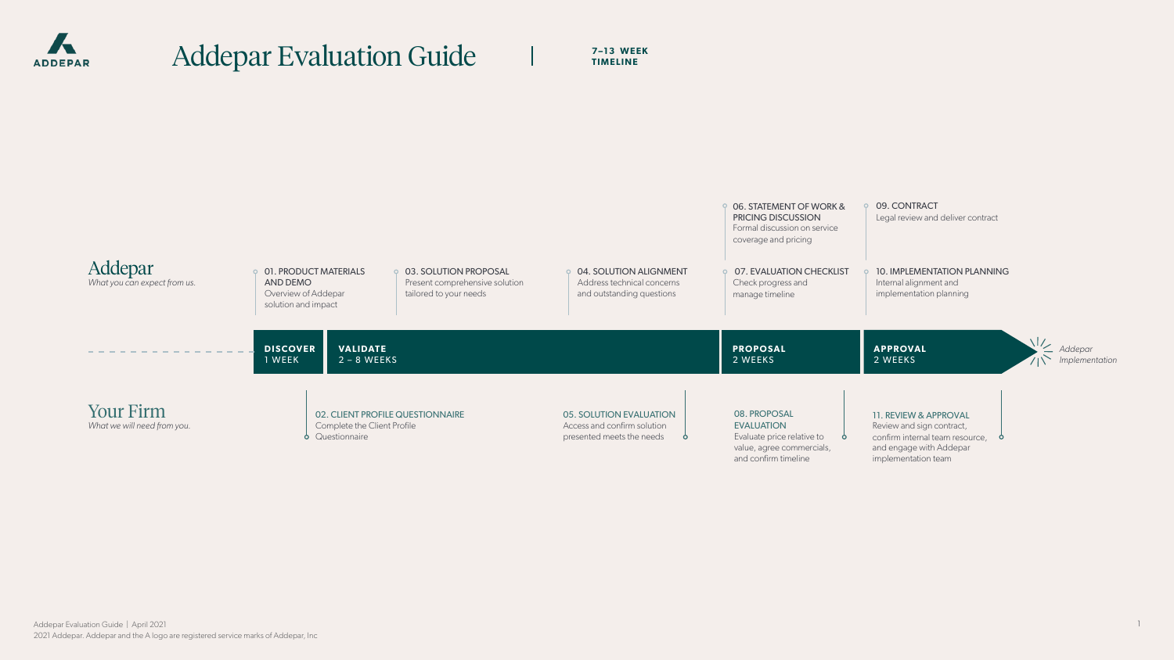

# Addepar Evaluation Guide | 7-13 WEEK

**TIMELINE** 

1

and confirm timeline

## 11. REVIEW & APPROVAL

Review and sign contract, confirm internal team resource, **b** and engage with Addepar implementation team



10. IMPLEMENTATION PLANNING Internal alignment and implementation planning

09. CONTRACT Legal review and deliver contract

**APPROVAL** 2 WEEKS



 $\sigma$